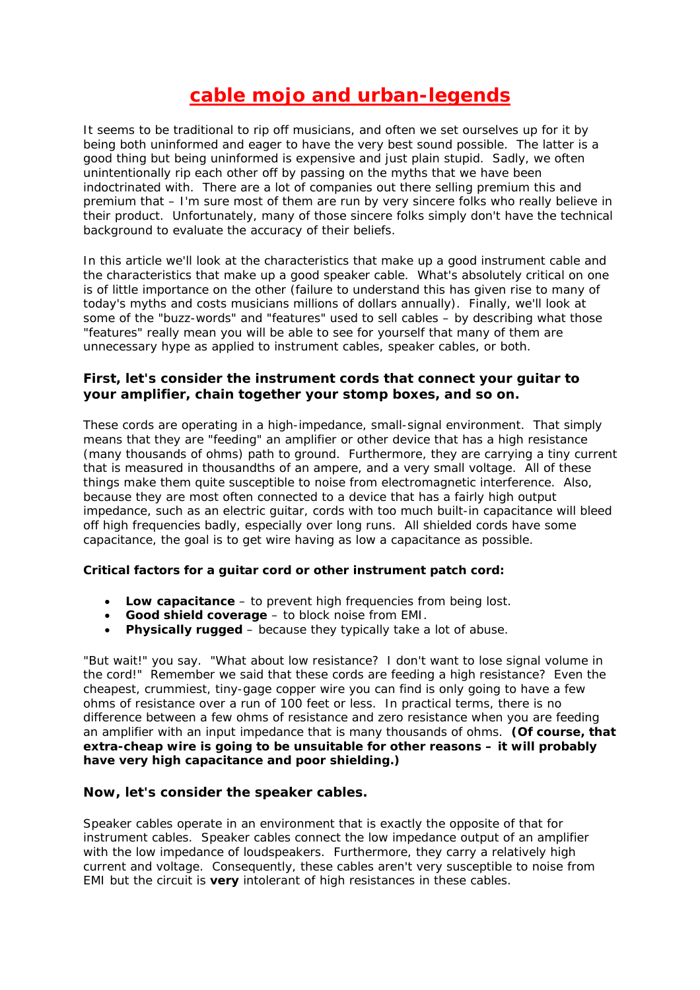# **cable mojo and urban-legends**

It seems to be traditional to rip off musicians, and often we set ourselves up for it by being both uninformed and eager to have the very best sound possible. The latter is a good thing but being uninformed is expensive and just plain stupid. Sadly, we often unintentionally rip each other off by passing on the myths that we have been indoctrinated with. There are a lot of companies out there selling premium this and premium that – I'm sure most of them are run by very sincere folks who really believe in their product. Unfortunately, many of those sincere folks simply don't have the technical background to evaluate the accuracy of their beliefs.

In this article we'll look at the characteristics that make up a good instrument cable and the characteristics that make up a good speaker cable. What's absolutely critical on one is of little importance on the other (failure to understand this has given rise to many of today's myths and costs musicians millions of dollars annually). Finally, we'll look at some of the "buzz-words" and "features" used to sell cables – by describing what those "features" really mean you will be able to see for yourself that many of them are unnecessary hype as applied to instrument cables, speaker cables, or both.

## **First, let's consider the instrument cords that connect your guitar to your amplifier, chain together your stomp boxes, and so on.**

These cords are operating in a high-impedance, small-signal environment. That simply means that they are "feeding" an amplifier or other device that has a high resistance (many thousands of ohms) path to ground. Furthermore, they are carrying a tiny current that is measured in thousandths of an ampere, and a very small voltage. All of these things make them quite susceptible to noise from electromagnetic interference. Also, because they are most often connected to a device that has a fairly high output impedance, such as an electric guitar, cords with too much built-in capacitance will bleed off high frequencies badly, especially over long runs. All shielded cords have some capacitance, the goal is to get wire having as low a capacitance as possible.

#### **Critical factors for a guitar cord or other instrument patch cord:**

- **Low capacitance** to prevent high frequencies from being lost.
- **Good shield coverage** to block noise from EMI.
- **Physically rugged** because they typically take a lot of abuse.

"But wait!" you say. "What about low resistance? I don't want to lose signal volume in the cord!" Remember we said that these cords are feeding a high resistance? Even the cheapest, crummiest, tiny-gage copper wire you can find is only going to have a few ohms of resistance over a run of 100 feet or less. In practical terms, there is no difference between a few ohms of resistance and zero resistance when you are feeding an amplifier with an input impedance that is many thousands of ohms. **(Of course, that extra-cheap wire is going to be unsuitable for other reasons – it will probably have very high capacitance and poor shielding.)**

#### **Now, let's consider the speaker cables.**

Speaker cables operate in an environment that is exactly the opposite of that for instrument cables. Speaker cables connect the low impedance output of an amplifier with the low impedance of loudspeakers. Furthermore, they carry a relatively high current and voltage. Consequently, these cables aren't very susceptible to noise from EMI but the circuit is **very** intolerant of high resistances in these cables.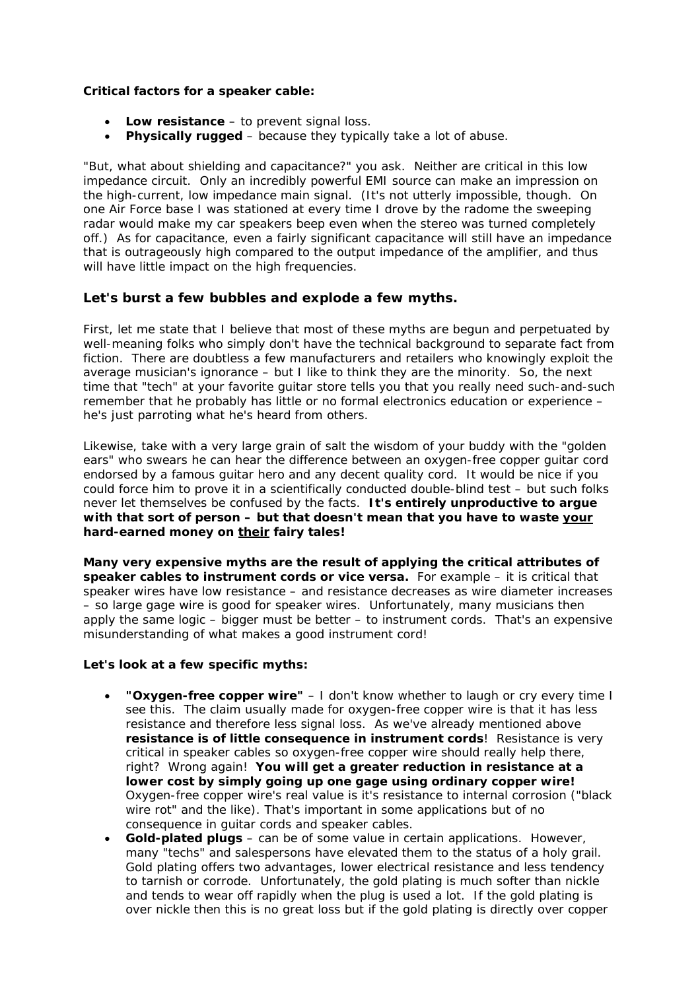### **Critical factors for a speaker cable:**

- **Low resistance** to prevent signal loss.
- **Physically rugged** because they typically take a lot of abuse.

"But, what about shielding and capacitance?" you ask. Neither are critical in this low impedance circuit. Only an incredibly powerful EMI source can make an impression on the high-current, low impedance main signal. (It's not utterly impossible, though. On one Air Force base I was stationed at every time I drove by the radome the sweeping radar would make my car speakers beep even when the stereo was turned completely off.) As for capacitance, even a fairly significant capacitance will still have an impedance that is outrageously high compared to the output impedance of the amplifier, and thus will have little impact on the high frequencies.

## **Let's burst a few bubbles and explode a few myths.**

First, let me state that I believe that most of these myths are begun and perpetuated by well-meaning folks who simply don't have the technical background to separate fact from fiction. There are doubtless a few manufacturers and retailers who knowingly exploit the average musician's ignorance – but I like to think they are the minority. So, the next time that "tech" at your favorite guitar store tells you that you really need such-and-such remember that he probably has little or no formal electronics education or experience – he's just parroting what he's heard from others.

Likewise, take with a very large grain of salt the wisdom of your buddy with the "golden ears" who swears he can hear the difference between an oxygen-free copper guitar cord endorsed by a famous guitar hero and any decent quality cord. It would be nice if you could force him to prove it in a scientifically conducted double-blind test – but such folks never let themselves be confused by the facts. **It's entirely unproductive to argue with that sort of person – but that doesn't mean that you have to waste your hard-earned money on their fairy tales!**

**Many very expensive myths are the result of applying the critical attributes of speaker cables to instrument cords or vice versa.** For example – it is critical that speaker wires have low resistance – and resistance decreases as wire diameter increases – so large gage wire is good for speaker wires. Unfortunately, many musicians then apply the same logic – bigger must be better – to instrument cords. That's an expensive misunderstanding of what makes a good instrument cord!

#### **Let's look at a few specific myths:**

- **"Oxygen-free copper wire"** I don't know whether to laugh or cry every time I see this. The claim usually made for oxygen-free copper wire is that it has less resistance and therefore less signal loss. As we've already mentioned above **resistance is of little consequence in instrument cords**! Resistance is very critical in speaker cables so oxygen-free copper wire should really help there, right? Wrong again! **You will get a greater reduction in resistance at a lower cost by simply going up one gage using ordinary copper wire!** *Oxygen-free copper wire's real value is it's resistance to internal corrosion ("black wire rot" and the like). That's important in some applications but of no consequence in guitar cords and speaker cables.*
- **Gold-plated plugs** can be of some value in certain applications. However, many "techs" and salespersons have elevated them to the status of a holy grail. Gold plating offers two advantages, lower electrical resistance and less tendency to tarnish or corrode. Unfortunately, the gold plating is much softer than nickle and tends to wear off rapidly when the plug is used a lot. If the gold plating is over nickle then this is no great loss but if the gold plating is directly over copper